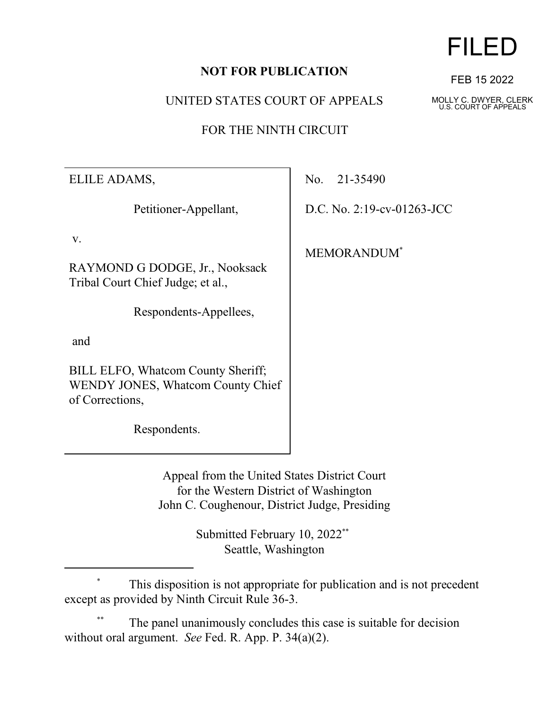## **NOT FOR PUBLICATION**

UNITED STATES COURT OF APPEALS

FOR THE NINTH CIRCUIT

ELILE ADAMS,

Petitioner-Appellant,

v.

RAYMOND G DODGE, Jr., Nooksack Tribal Court Chief Judge; et al.,

Respondents-Appellees,

and

BILL ELFO, Whatcom County Sheriff; WENDY JONES, Whatcom County Chief of Corrections,

Respondents.

No. 21-35490

D.C. No. 2:19-cv-01263-JCC

MEMORANDUM\*

Appeal from the United States District Court for the Western District of Washington John C. Coughenour, District Judge, Presiding

> Submitted February 10, 2022<sup>\*\*</sup> Seattle, Washington

This disposition is not appropriate for publication and is not precedent except as provided by Ninth Circuit Rule 36-3.

The panel unanimously concludes this case is suitable for decision without oral argument. *See* Fed. R. App. P. 34(a)(2).

## FILED

FEB 15 2022

MOLLY C. DWYER, CLERK U.S. COURT OF APPEALS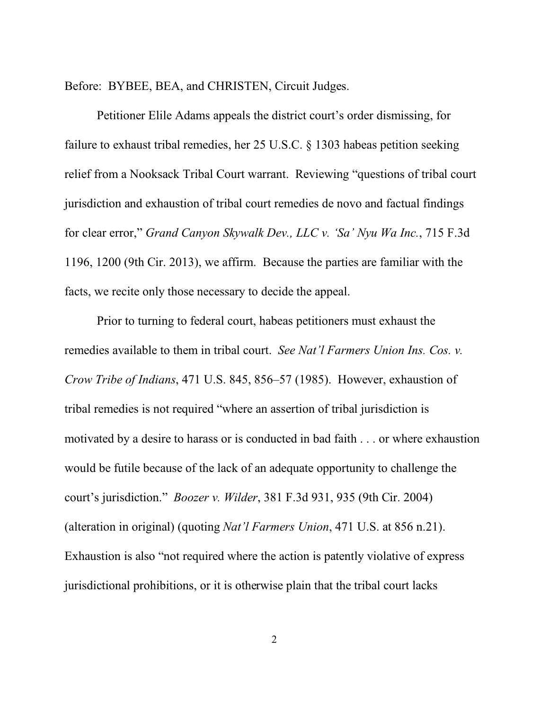Before: BYBEE, BEA, and CHRISTEN, Circuit Judges.

Petitioner Elile Adams appeals the district court's order dismissing, for failure to exhaust tribal remedies, her 25 U.S.C. § 1303 habeas petition seeking relief from a Nooksack Tribal Court warrant. Reviewing "questions of tribal court jurisdiction and exhaustion of tribal court remedies de novo and factual findings for clear error," *Grand Canyon Skywalk Dev., LLC v. 'Sa' Nyu Wa Inc.*, 715 F.3d 1196, 1200 (9th Cir. 2013), we affirm. Because the parties are familiar with the facts, we recite only those necessary to decide the appeal.

Prior to turning to federal court, habeas petitioners must exhaust the remedies available to them in tribal court. *See Nat'l Farmers Union Ins. Cos. v. Crow Tribe of Indians*, 471 U.S. 845, 856–57 (1985). However, exhaustion of tribal remedies is not required "where an assertion of tribal jurisdiction is motivated by a desire to harass or is conducted in bad faith . . . or where exhaustion would be futile because of the lack of an adequate opportunity to challenge the court's jurisdiction." *Boozer v. Wilder*, 381 F.3d 931, 935 (9th Cir. 2004) (alteration in original) (quoting *Nat'l Farmers Union*, 471 U.S. at 856 n.21). Exhaustion is also "not required where the action is patently violative of express jurisdictional prohibitions, or it is otherwise plain that the tribal court lacks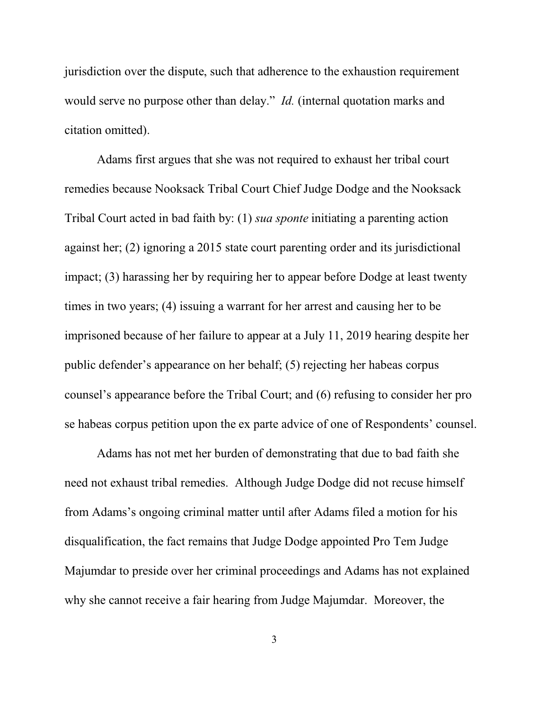jurisdiction over the dispute, such that adherence to the exhaustion requirement would serve no purpose other than delay." *Id.* (internal quotation marks and citation omitted).

Adams first argues that she was not required to exhaust her tribal court remedies because Nooksack Tribal Court Chief Judge Dodge and the Nooksack Tribal Court acted in bad faith by: (1) *sua sponte* initiating a parenting action against her; (2) ignoring a 2015 state court parenting order and its jurisdictional impact; (3) harassing her by requiring her to appear before Dodge at least twenty times in two years; (4) issuing a warrant for her arrest and causing her to be imprisoned because of her failure to appear at a July 11, 2019 hearing despite her public defender's appearance on her behalf; (5) rejecting her habeas corpus counsel's appearance before the Tribal Court; and (6) refusing to consider her pro se habeas corpus petition upon the ex parte advice of one of Respondents' counsel.

Adams has not met her burden of demonstrating that due to bad faith she need not exhaust tribal remedies. Although Judge Dodge did not recuse himself from Adams's ongoing criminal matter until after Adams filed a motion for his disqualification, the fact remains that Judge Dodge appointed Pro Tem Judge Majumdar to preside over her criminal proceedings and Adams has not explained why she cannot receive a fair hearing from Judge Majumdar. Moreover, the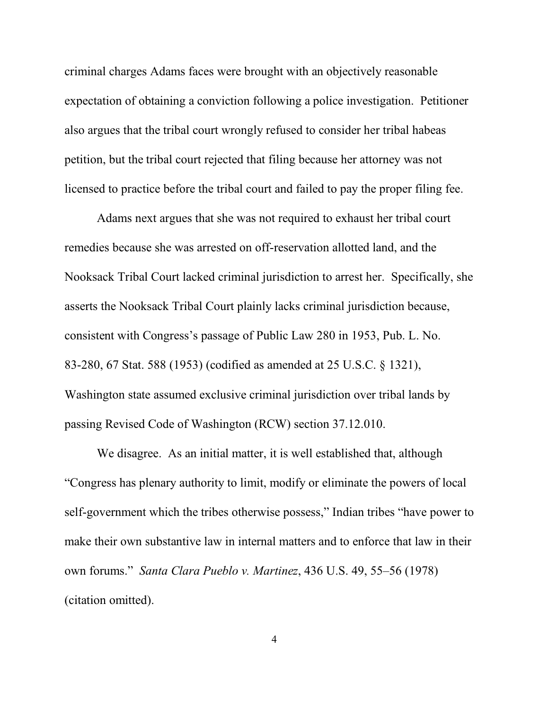criminal charges Adams faces were brought with an objectively reasonable expectation of obtaining a conviction following a police investigation. Petitioner also argues that the tribal court wrongly refused to consider her tribal habeas petition, but the tribal court rejected that filing because her attorney was not licensed to practice before the tribal court and failed to pay the proper filing fee.

Adams next argues that she was not required to exhaust her tribal court remedies because she was arrested on off-reservation allotted land, and the Nooksack Tribal Court lacked criminal jurisdiction to arrest her. Specifically, she asserts the Nooksack Tribal Court plainly lacks criminal jurisdiction because, consistent with Congress's passage of Public Law 280 in 1953, Pub. L. No. 83-280, 67 Stat. 588 (1953) (codified as amended at 25 U.S.C. § 1321), Washington state assumed exclusive criminal jurisdiction over tribal lands by passing Revised Code of Washington (RCW) section 37.12.010.

We disagree. As an initial matter, it is well established that, although "Congress has plenary authority to limit, modify or eliminate the powers of local self-government which the tribes otherwise possess," Indian tribes "have power to make their own substantive law in internal matters and to enforce that law in their own forums." *Santa Clara Pueblo v. Martinez*, 436 U.S. 49, 55–56 (1978) (citation omitted).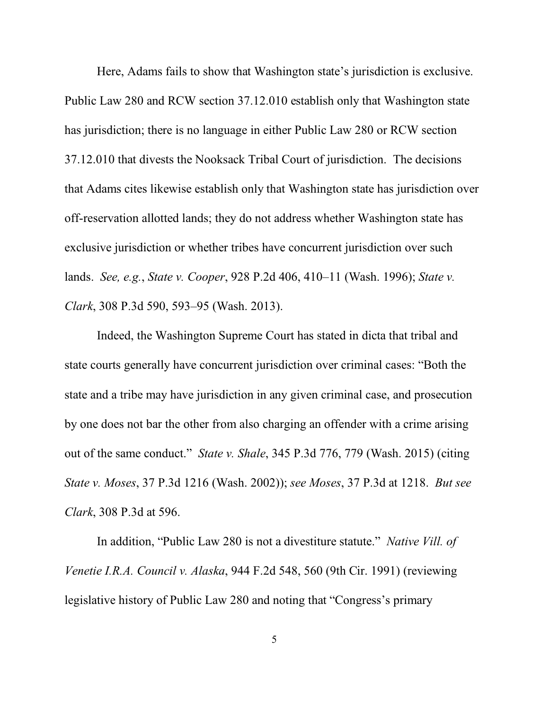Here, Adams fails to show that Washington state's jurisdiction is exclusive. Public Law 280 and RCW section 37.12.010 establish only that Washington state has jurisdiction; there is no language in either Public Law 280 or RCW section 37.12.010 that divests the Nooksack Tribal Court of jurisdiction. The decisions that Adams cites likewise establish only that Washington state has jurisdiction over off-reservation allotted lands; they do not address whether Washington state has exclusive jurisdiction or whether tribes have concurrent jurisdiction over such lands. *See, e.g.*, *State v. Cooper*, 928 P.2d 406, 410–11 (Wash. 1996); *State v. Clark*, 308 P.3d 590, 593–95 (Wash. 2013).

Indeed, the Washington Supreme Court has stated in dicta that tribal and state courts generally have concurrent jurisdiction over criminal cases: "Both the state and a tribe may have jurisdiction in any given criminal case, and prosecution by one does not bar the other from also charging an offender with a crime arising out of the same conduct." *State v. Shale*, 345 P.3d 776, 779 (Wash. 2015) (citing *State v. Moses*, 37 P.3d 1216 (Wash. 2002)); *see Moses*, 37 P.3d at 1218. *But see Clark*, 308 P.3d at 596.

In addition, "Public Law 280 is not a divestiture statute." *Native Vill. of Venetie I.R.A. Council v. Alaska*, 944 F.2d 548, 560 (9th Cir. 1991) (reviewing legislative history of Public Law 280 and noting that "Congress's primary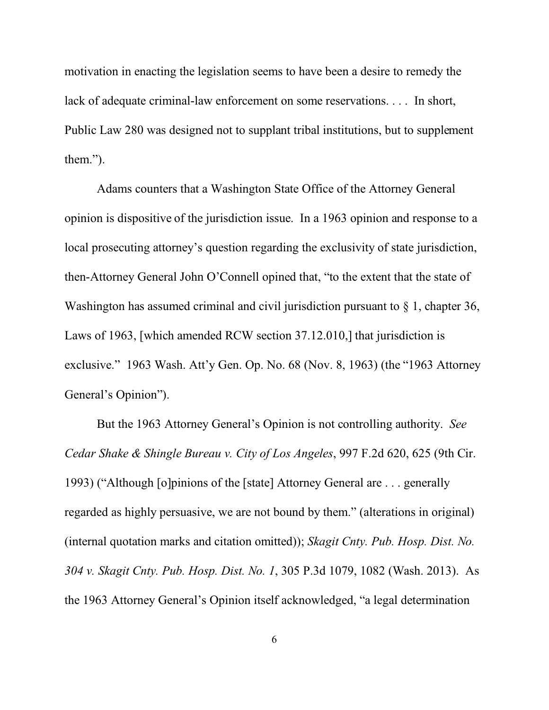motivation in enacting the legislation seems to have been a desire to remedy the lack of adequate criminal-law enforcement on some reservations. . . . In short, Public Law 280 was designed not to supplant tribal institutions, but to supplement them.").

Adams counters that a Washington State Office of the Attorney General opinion is dispositive of the jurisdiction issue. In a 1963 opinion and response to a local prosecuting attorney's question regarding the exclusivity of state jurisdiction, then-Attorney General John O'Connell opined that, "to the extent that the state of Washington has assumed criminal and civil jurisdiction pursuant to  $\S$  1, chapter 36, Laws of 1963, [which amended RCW section 37.12.010,] that jurisdiction is exclusive." 1963 Wash. Att'y Gen. Op. No. 68 (Nov. 8, 1963) (the "1963 Attorney General's Opinion").

But the 1963 Attorney General's Opinion is not controlling authority. *See Cedar Shake & Shingle Bureau v. City of Los Angeles*, 997 F.2d 620, 625 (9th Cir. 1993) ("Although [o]pinions of the [state] Attorney General are . . . generally regarded as highly persuasive, we are not bound by them." (alterations in original) (internal quotation marks and citation omitted)); *Skagit Cnty. Pub. Hosp. Dist. No. 304 v. Skagit Cnty. Pub. Hosp. Dist. No. 1*, 305 P.3d 1079, 1082 (Wash. 2013). As the 1963 Attorney General's Opinion itself acknowledged, "a legal determination